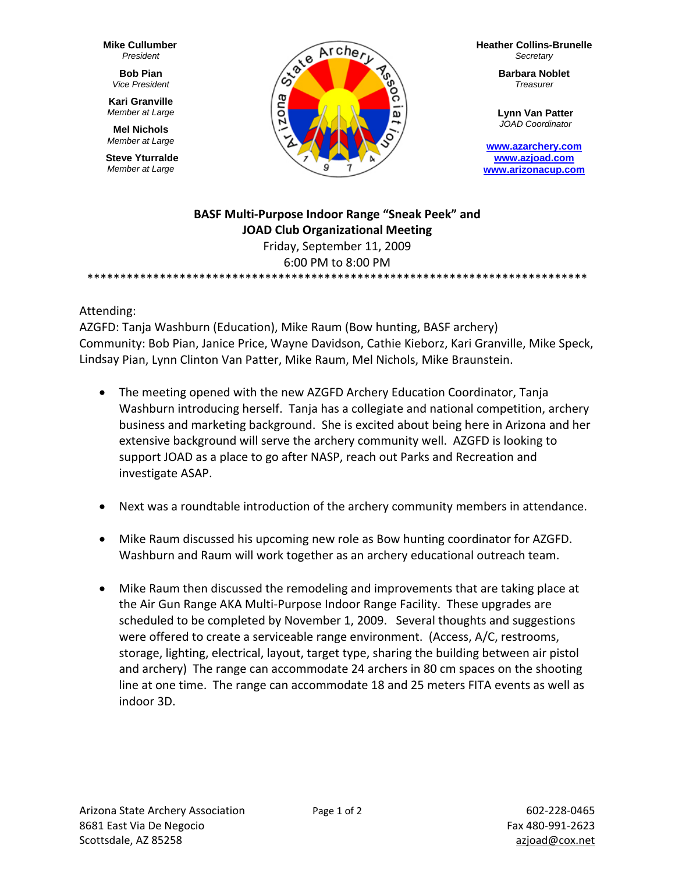**Mike Cullumber** *President* 

> **Bob Pian** *Vice President*

**Kari Granville**  *Member at Large* 

**Mel Nichols**  *Member at Large* 

**Steve Yturralde**  *Member at Large* 



**Heather Collins-Brunelle** *Secretary* 

> **Barbara Noblet** *Treasurer*

**Lynn Van Patter**  *JOAD Coordinator* 

**www.azarchery.com www.azjoad.com www.arizonacup.com**

#### **BASF Multi‐Purpose Indoor Range "Sneak Peek" and JOAD Club Organizational Meeting** Friday, September 11, 2009 6:00 PM to 8:00 PM

\*\*\*\*\*\*\*\*\*\*\*\*\*\*\*\*\*\*\*\*\*\*\*\*\*\*\*\*\*\*\*\*\*\*\*\*\*\*\*\*\*\*\*\*\*\*\*\*\*\*\*\*\*\*\*\*\*\*\*\*\*\*\*\*\*\*\*\*\*\*\*\*\*\*\*\*

#### Attending:

AZGFD: Tanja Washburn (Education), Mike Raum (Bow hunting, BASF archery) Community: Bob Pian, Janice Price, Wayne Davidson, Cathie Kieborz, Kari Granville, Mike Speck, Lindsay Pian, Lynn Clinton Van Patter, Mike Raum, Mel Nichols, Mike Braunstein.

- The meeting opened with the new AZGFD Archery Education Coordinator, Tanja Washburn introducing herself. Tanja has a collegiate and national competition, archery business and marketing background. She is excited about being here in Arizona and her extensive background will serve the archery community well. AZGFD is looking to support JOAD as a place to go after NASP, reach out Parks and Recreation and investigate ASAP.
- Next was a roundtable introduction of the archery community members in attendance.
- Mike Raum discussed his upcoming new role as Bow hunting coordinator for AZGFD. Washburn and Raum will work together as an archery educational outreach team.
- Mike Raum then discussed the remodeling and improvements that are taking place at the Air Gun Range AKA Multi‐Purpose Indoor Range Facility. These upgrades are scheduled to be completed by November 1, 2009. Several thoughts and suggestions were offered to create a serviceable range environment. (Access, A/C, restrooms, storage, lighting, electrical, layout, target type, sharing the building between air pistol and archery) The range can accommodate 24 archers in 80 cm spaces on the shooting line at one time. The range can accommodate 18 and 25 meters FITA events as well as indoor 3D.